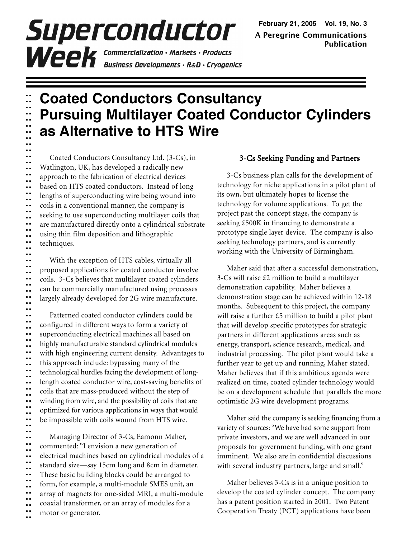# Superconductor **Week** Commercialization · Markets · Products<br>Business Developments · R&D · Cryogenics

# **Coated Conductors Consultancy Pursuing Multilayer Coated Conductor Cylinders as Alternative to HTS Wire**

Coated Conductors Consultancy Ltd. (3-Cs), in Watlington, UK, has developed a radically new approach to the fabrication of electrical devices based on HTS coated conductors. Instead of long lengths of superconducting wire being wound into coils in a conventional manner, the company is seeking to use superconducting multilayer coils that are manufactured directly onto a cylindrical substrate using thin film deposition and lithographic techniques.

**.. .. .. .. .. .. .. .. .. .. .. .. .. .. .. .. .. .. .. .. .. .. .. .. .. .. .. .. .. .. .. .. .. .. ..**

With the exception of HTS cables, virtually all proposed applications for coated conductor involve coils. 3-Cs believes that multilayer coated cylinders can be commercially manufactured using processes largely already developed for 2G wire manufacture.

**.. .. .. .. .. .. .. .. .. .. .. .. .. .. .. .. .. .. .. ..** Patterned coated conductor cylinders could be configured in different ways to form a variety of superconducting electrical machines all based on highly manufacturable standard cylindrical modules with high engineering current density. Advantages to this approach include: bypassing many of the technological hurdles facing the development of longlength coated conductor wire, cost-saving benefits of coils that are mass-produced without the step of winding from wire, and the possibility of coils that are optimized for various applications in ways that would be impossible with coils wound from HTS wire.

**.. .. .. .. .. .. .. .. .. .. .. .. .. .. ..** Managing Director of 3-Cs, Eamonn Maher, commented: "I envision a new generation of electrical machines based on cylindrical modules of a standard size—say 15cm long and 8cm in diameter. These basic building blocks could be arranged to form, for example, a multi-module SMES unit, an array of magnets for one-sided MRI, a multi-module coaxial transformer, or an array of modules for a motor or generator.

#### 3-Cs Seeking Funding and Partners

3-Cs business plan calls for the development of technology for niche applications in a pilot plant of its own, but ultimately hopes to license the technology for volume applications. To get the project past the concept stage, the company is seeking £500K in financing to demonstrate a prototype single layer device. The company is also seeking technology partners, and is currently working with the University of Birmingham.

Maher said that after a successful demonstration, 3-Cs will raise £2 million to build a multilayer demonstration capability. Maher believes a demonstration stage can be achieved within 12-18 months. Subsequent to this project, the company will raise a further £5 million to build a pilot plant that will develop specific prototypes for strategic partners in different applications areas such as energy, transport, science research, medical, and industrial processing. The pilot plant would take a further year to get up and running, Maher stated. Maher believes that if this ambitious agenda were realized on time, coated cylinder technology would be on a development schedule that parallels the more optimistic 2G wire development programs.

Maher said the company is seeking financing from a variety of sources: "We have had some support from private investors, and we are well advanced in our proposals for government funding, with one grant imminent. We also are in confidential discussions with several industry partners, large and small."

Maher believes 3-Cs is in a unique position to develop the coated cylinder concept. The company has a patent position started in 2001. Two Patent Cooperation Treaty (PCT) applications have been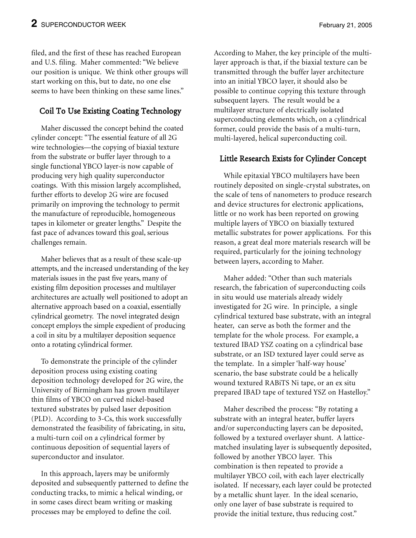filed, and the first of these has reached European and U.S. filing. Maher commented: "We believe our position is unique. We think other groups will start working on this, but to date, no one else seems to have been thinking on these same lines."

### Coil To Use Existing Coating Technology

Maher discussed the concept behind the coated cylinder concept: "The essential feature of all 2G wire technologies—the copying of biaxial texture from the substrate or buffer layer through to a single functional YBCO layer-is now capable of producing very high quality superconductor coatings. With this mission largely accomplished, further efforts to develop 2G wire are focused primarily on improving the technology to permit the manufacture of reproducible, homogeneous tapes in kilometer or greater lengths." Despite the fast pace of advances toward this goal, serious challenges remain.

Maher believes that as a result of these scale-up attempts, and the increased understanding of the key materials issues in the past five years, many of existing film deposition processes and multilayer architectures are actually well positioned to adopt an alternative approach based on a coaxial, essentially cylindrical geometry. The novel integrated design concept employs the simple expedient of producing a coil in situ by a multilayer deposition sequence onto a rotating cylindrical former.

To demonstrate the principle of the cylinder deposition process using existing coating deposition technology developed for 2G wire, the University of Birmingham has grown multilayer thin films of YBCO on curved nickel-based textured substrates by pulsed laser deposition (PLD). According to 3-Cs, this work successfully demonstrated the feasibility of fabricating, in situ, a multi-turn coil on a cylindrical former by continuous deposition of sequential layers of superconductor and insulator.

In this approach, layers may be uniformly deposited and subsequently patterned to define the conducting tracks, to mimic a helical winding, or in some cases direct beam writing or masking processes may be employed to define the coil.

According to Maher, the key principle of the multilayer approach is that, if the biaxial texture can be transmitted through the buffer layer architecture into an initial YBCO layer, it should also be possible to continue copying this texture through subsequent layers. The result would be a multilayer structure of electrically isolated superconducting elements which, on a cylindrical former, could provide the basis of a multi-turn, multi-layered, helical superconducting coil.

#### Little Research Exists for Cylinder Concept

While epitaxial YBCO multilayers have been routinely deposited on single-crystal substrates, on the scale of tens of nanometers to produce research and device structures for electronic applications, little or no work has been reported on growing multiple layers of YBCO on biaxially textured metallic substrates for power applications. For this reason, a great deal more materials research will be required, particularly for the joining technology between layers, according to Maher.

Maher added: "Other than such materials research, the fabrication of superconducting coils in situ would use materials already widely investigated for 2G wire. In principle, a single cylindrical textured base substrate, with an integral heater, can serve as both the former and the template for the whole process. For example, a textured IBAD YSZ coating on a cylindrical base substrate, or an ISD textured layer could serve as the template. In a simpler 'half-way house' scenario, the base substrate could be a helically wound textured RABiTS Ni tape, or an ex situ prepared IBAD tape of textured YSZ on Hastelloy."

Maher described the process: "By rotating a substrate with an integral heater, buffer layers and/or superconducting layers can be deposited, followed by a textured overlayer shunt. A latticematched insulating layer is subsequently deposited, followed by another YBCO layer. This combination is then repeated to provide a multilayer YBCO coil, with each layer electrically isolated. If necessary, each layer could be protected by a metallic shunt layer. In the ideal scenario, only one layer of base substrate is required to provide the initial texture, thus reducing cost."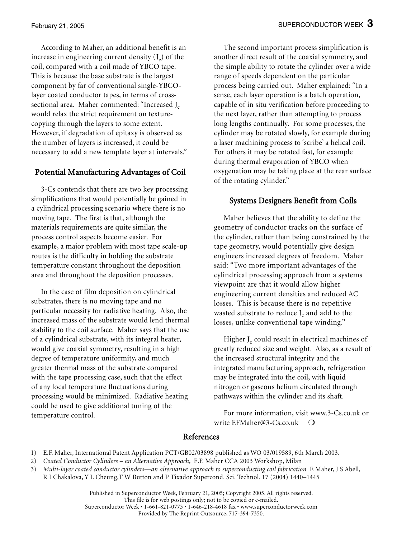According to Maher, an additional benefit is an increase in engineering current density  $(J_e)$  of the coil, compared with a coil made of YBCO tape. This is because the base substrate is the largest component by far of conventional single-YBCOlayer coated conductor tapes, in terms of crosssectional area. Maher commented: "Increased J<sub>e</sub> would relax the strict requirement on texturecopying through the layers to some extent. However, if degradation of epitaxy is observed as the number of layers is increased, it could be necessary to add a new template layer at intervals."

#### Potential Manufacturing Advantages of Coil

3-Cs contends that there are two key processing simplifications that would potentially be gained in a cylindrical processing scenario where there is no moving tape. The first is that, although the materials requirements are quite similar, the process control aspects become easier. For example, a major problem with most tape scale-up routes is the difficulty in holding the substrate temperature constant throughout the deposition area and throughout the deposition processes.

In the case of film deposition on cylindrical substrates, there is no moving tape and no particular necessity for radiative heating. Also, the increased mass of the substrate would lend thermal stability to the coil surface. Maher says that the use of a cylindrical substrate, with its integral heater, would give coaxial symmetry, resulting in a high degree of temperature uniformity, and much greater thermal mass of the substrate compared with the tape processing case, such that the effect of any local temperature fluctuations during processing would be minimized. Radiative heating could be used to give additional tuning of the temperature control.

The second important process simplification is another direct result of the coaxial symmetry, and the simple ability to rotate the cylinder over a wide range of speeds dependent on the particular process being carried out. Maher explained: "In a sense, each layer operation is a batch operation, capable of in situ verification before proceeding to the next layer, rather than attempting to process long lengths continually. For some processes, the cylinder may be rotated slowly, for example during a laser machining process to 'scribe' a helical coil. For others it may be rotated fast, for example during thermal evaporation of YBCO when oxygenation may be taking place at the rear surface of the rotating cylinder."

#### Systems Designers Benefit from Coils

Maher believes that the ability to define the geometry of conductor tracks on the surface of the cylinder, rather than being constrained by the tape geometry, would potentially give design engineers increased degrees of freedom. Maher said: "Two more important advantages of the cylindrical processing approach from a systems viewpoint are that it would allow higher engineering current densities and reduced AC losses. This is because there is no repetitive wasted substrate to reduce  $J_c$  and add to the losses, unlike conventional tape winding."

Higher  $J_c$  could result in electrical machines of greatly reduced size and weight. Also, as a result of the increased structural integrity and the integrated manufacturing approach, refrigeration may be integrated into the coil, with liquid nitrogen or gaseous helium circulated through pathways within the cylinder and its shaft.

For more information, visit www.3-Cs.co.uk or write EFMaher@3-Cs.co.uk  $\bigcirc$ 

#### References

- 1) E.F. Maher, International Patent Application PCT/GB02/03898 published as WO 03/019589, 6th March 2003.
- 2) Coated Conductor Cylinders an Alternative Approach, E.F. Maher CCA 2003 Workshop, Milan
- 3) Multi-layer coated conductor cylinders—an alternative approach to superconducting coil fabrication E Maher, J S Abell,
- R I Chakalova, Y L Cheung,T W Button and P Tixador Supercond. Sci. Technol. 17 (2004) 1440–1445

Published in Superconductor Week, February 21, 2005; Copyright 2005. All rights reserved. This file is for web postings only; not to be copied or e-mailed. Superconductor Week • 1-661-821-0773 • 1-646-218-4618 fax • www.superconductorweek.com Provided by The Reprint Outsource, 717-394-7350.